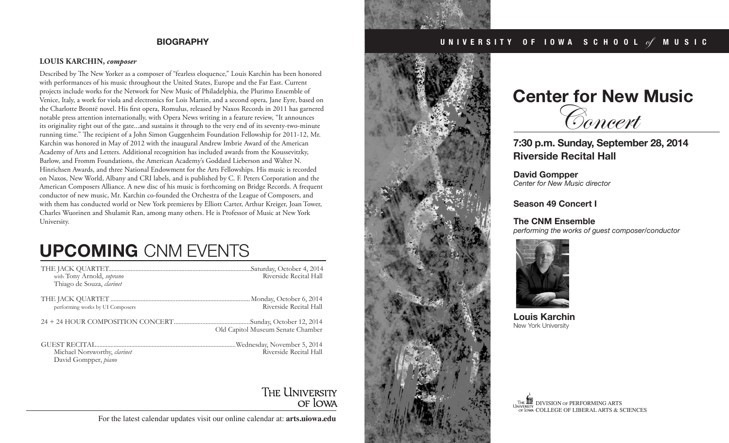#### **LOUIS KARCHIN,** *composer*

Described by The New Yorker as a composer of "fearless eloquence," Louis Karchin has been honored with performances of his music throughout the United States, Europe and the Far East. Current projects include works for the Network for New Music of Philadelphia, the Plurimo Ensemble of Venice, Italy, a work for viola and electronics for Lois Martin, and a second opera, Jane Eyre, based on the Charlotte Brontë novel. His first opera, Romulus, released by Naxos Records in 2011 has garnered notable press attention internationally, with Opera News writing in a feature review, "It announces its originality right out of the gate...and sustains it through to the very end of its seventy-two-minute running time." The recipient of a John Simon Guggenheim Foundation Fellowship for 2011-12, Mr. Karchin was honored in May of 2012 with the inaugural Andrew Imbrie Award of the American Academy of Arts and Letters. Additional recognition has included awards from the Koussevitzky, Barlow, and Fromm Foundations, the American Academy's Goddard Lieberson and Walter N. Hinrichsen Awards, and three National Endowment for the Arts Fellowships. His music is recorded on Naxos, New World, Albany and CRI labels, and is published by C. F. Peters Corporation and the American Composers Alliance. A new disc of his music is forthcoming on Bridge Records. A frequent conductor of new music, Mr. Karchin co-founded the Orchestra of the League of Composers, and with them has conducted world or New York premieres by Elliott Carter, Arthur Kreiger, Joan Tower, Charles Wuorinen and Shulamit Ran, among many others. He is Professor of Music at New York University.

# **UPCOMING** CNM EVENTS

| with Tony Arnold, soprano<br>Thiago de Souza, clarinet | Riverside Recital Hall                                 |
|--------------------------------------------------------|--------------------------------------------------------|
| performing works by UI Composers                       | Riverside Recital Hall                                 |
|                                                        | Old Capitol Museum Senate Chamber                      |
| Michael Norsworthy, clarinet<br>David Gompper, piano   | .Wednesday, November 5, 2014<br>Riverside Recital Hall |

## THE UNIVERSITY OF LOWA

For the latest calendar updates visit our online calendar at: **arts.uiowa.edu**

### **BIOGRAPHY U N I V E R S I T Y O F I O W A S C H O O L** of **M U S I C**



# **Center for New Music** Concert

**7:30 p.m. Sunday, September 28, 2014 Riverside Recital Hall**

**David Gompper** *Center for New Music director*

**Season 49 Concert I** 

**The CNM Ensemble** *performing the works of guest composer/conductor*



**Louis Karchin** New York University